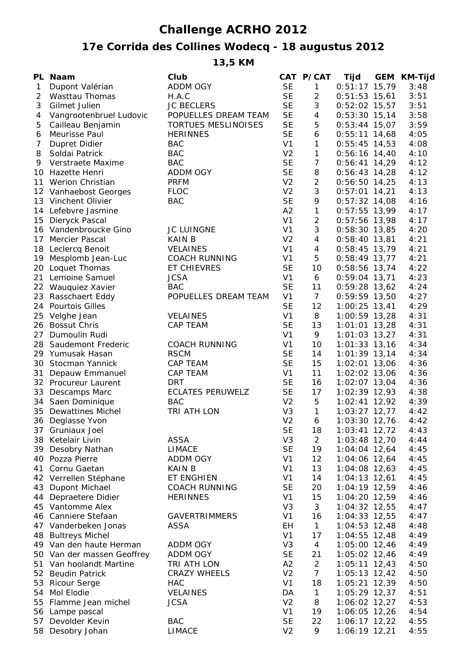## **Challenge ACRHO 2012**

## **17e Corrida des Collines Wodecq - 18 augustus 2012**

**13,5 KM**

|    | PL Naam                                    | Club                    |                      | CAT P/CAT           | <b>Tijd</b>                        | <b>GEM KM-Tijd</b> |
|----|--------------------------------------------|-------------------------|----------------------|---------------------|------------------------------------|--------------------|
| 1  | Dupont Valérian                            | <b>ADDM OGY</b>         | <b>SE</b>            | $\mathbf{1}$        | $0:51:17$ 15,79                    | 3:48               |
| 2  | Wasttau Thomas                             | H.A.C                   | <b>SE</b>            | $\overline{2}$      | $0:51:53$ 15,61                    | 3:51               |
| 3  | Gilmet Julien                              | <b>JC BECLERS</b>       | <b>SE</b>            | 3                   | $0:52:02$ 15,57                    | 3:51               |
| 4  | Vangrootenbruel Ludovic                    | POPUELLES DREAM TEAM    | <b>SE</b>            | 4                   | $0:53:30$ 15,14                    | 3:58               |
| 5  | Cailleau Benjamin                          | TORTUES MESLINOISES     | <b>SE</b>            | 5                   | $0:53:44$ 15,07                    | 3:59               |
| 6  | Meurisse Paul                              | <b>HERINNES</b>         | <b>SE</b>            | 6                   | $0:55:11$ 14,68                    | 4:05               |
| 7  | Dupret Didier                              | <b>BAC</b>              | V <sub>1</sub>       | 1                   | $0:55:45$ 14,53                    | 4:08               |
| 8  | Soldai Patrick                             | <b>BAC</b>              | V <sub>2</sub>       | $\mathbf{1}$        | $0:56:16$ 14,40                    | 4:10               |
| 9  | Verstraete Maxime                          | <b>BAC</b>              | <b>SE</b>            | $\overline{7}$      | $0:56:41$ 14,29                    | 4:12               |
|    | 10 Hazette Henri                           | <b>ADDM OGY</b>         | <b>SE</b>            | 8                   | $0:56:43$ 14,28                    | 4:12               |
|    | 11 Werion Christian                        | <b>PRFM</b>             | V <sub>2</sub>       | $\overline{2}$      | $0:56:50$ 14,25                    | 4:13               |
|    | 12 Vanhaebost Georges                      | <b>FLOC</b>             | V <sub>2</sub>       | 3                   | $0:57:01$ 14,21                    | 4:13               |
|    | 13 Vinchent Olivier                        | <b>BAC</b>              | <b>SE</b>            | 9                   | $0:57:32$ 14,08                    | 4:16               |
|    | 14 Lefebvre Jasmine                        |                         | A2<br>V <sub>1</sub> | $\mathbf{1}$        | $0:57:55$ 13,99                    | 4:17               |
|    | 15 Dieryck Pascal                          | <b>JC LUINGNE</b>       | V <sub>1</sub>       | $\overline{2}$<br>3 | $0:57:56$ 13,98                    | 4:17               |
|    | 16 Vandenbroucke Gino<br>17 Mercier Pascal | <b>KAIN B</b>           | V <sub>2</sub>       | $\overline{4}$      | $0:58:30$ 13,85<br>$0:58:40$ 13,81 | 4:20<br>4:21       |
|    |                                            | <b>VELAINES</b>         | V <sub>1</sub>       | 4                   | $0:58:45$ 13,79                    | 4:21               |
|    | 18 Leclercq Benoit<br>19 Mesplomb Jean-Luc | <b>COACH RUNNING</b>    | V <sub>1</sub>       | 5                   | $0:58:49$ 13,77                    | 4:21               |
|    | 20 Loquet Thomas                           | ET CHIEVRES             | <b>SE</b>            | 10                  | $0:58:56$ 13,74                    | 4:22               |
|    | 21 Lemoine Samuel                          | <b>JCSA</b>             | V <sub>1</sub>       | 6                   | $0:59:04$ 13,71                    | 4:23               |
|    | 22 Wauquiez Xavier                         | <b>BAC</b>              | <b>SE</b>            | 11                  | $0:59:28$ 13,62                    | 4:24               |
|    | 23 Rasschaert Eddy                         | POPUELLES DREAM TEAM    | V <sub>1</sub>       | $\overline{7}$      | $0:59:59$ 13,50                    | 4:27               |
|    | 24 Pourtois Gilles                         |                         | <b>SE</b>            | 12                  | $1:00:25$ 13,41                    | 4:29               |
|    | 25 Velghe Jean                             | <b>VELAINES</b>         | V <sub>1</sub>       | 8                   | $1:00:59$ 13,28                    | 4:31               |
| 26 | <b>Bossut Chris</b>                        | CAP TEAM                | <b>SE</b>            | 13                  | $1:01:01$ 13,28                    | 4:31               |
| 27 | Dumoulin Rudi                              |                         | V <sub>1</sub>       | 9                   | $1:01:03$ 13,27                    | 4:31               |
| 28 | Saudemont Frederic                         | <b>COACH RUNNING</b>    | V <sub>1</sub>       | 10                  | $1:01:33$ 13,16                    | 4:34               |
|    | 29 Yumusak Hasan                           | <b>RSCM</b>             | <b>SE</b>            | 14                  | $1:01:39$ 13,14                    | 4:34               |
| 30 | Stocman Yannick                            | CAP TEAM                | <b>SE</b>            | 15                  | $1:02:01$ 13,06                    | 4:36               |
| 31 | Depauw Emmanuel                            | <b>CAP TEAM</b>         | V <sub>1</sub>       | 11                  | $1:02:02$ 13,06                    | 4:36               |
|    | 32 Procureur Laurent                       | <b>DRT</b>              | <b>SE</b>            | 16                  | $1:02:07$ 13,04                    | 4:36               |
|    | 33 Descamps Marc                           | <b>ECLATES PERUWELZ</b> | <b>SE</b>            | 17                  | $1:02:39$ 12,93                    | 4:38               |
|    | 34 Saen Dominique                          | <b>BAC</b>              | V <sub>2</sub>       | 5                   | $1:02:41$ 12,92                    | 4:39               |
|    | 35 Dewattines Michel                       | TRI ATH LON             | V <sub>3</sub>       | $\mathbf{1}$        | $1:03:27$ 12,77                    | 4:42               |
|    | 36 Deglasse Yvon                           |                         | V <sub>2</sub>       | 6                   | $1:03:30$ 12,76                    | 4:42               |
|    | 37 Gruniaux Joel                           |                         | SE                   | 18                  | $1:03:41$ 12,72                    | 4:43               |
|    | 38 Ketelair Livin                          | ASSA                    | V3                   | $\overline{2}$      | $1:03:48$ 12,70                    | 4:44               |
|    | 39 Desobry Nathan                          | <b>LIMACE</b>           | <b>SE</b>            | 19                  | $1:04:04$ 12,64                    | 4:45               |
|    | 40 Pozza Pierre                            | <b>ADDM OGY</b>         | V <sub>1</sub>       | 12                  | $1:04:06$ 12,64                    | 4:45               |
|    | 41 Cornu Gaetan                            | KAIN B                  | V <sub>1</sub>       | 13                  | $1:04:08$ 12,63                    | 4:45               |
|    | 42 Verrellen Stéphane                      | ET ENGHIEN              | V <sub>1</sub>       | 14                  | $1:04:13$ 12,61                    | 4:45               |
|    | 43 Dupont Michael                          | <b>COACH RUNNING</b>    | <b>SE</b>            | 20                  | $1:04:19$ 12,59                    | 4:46               |
|    | 44 Depraetere Didier                       | <b>HERINNES</b>         | V <sub>1</sub>       | 15                  | 1:04:20 12,59                      | 4:46               |
|    | 45 Vantomme Alex                           |                         | V <sub>3</sub>       | 3                   | $1:04:32$ 12,55                    | 4:47               |
|    | 46 Canniere Stefaan                        | <b>GAVERTRIMMERS</b>    | V <sub>1</sub>       | 16                  | $1:04:33$ 12,55                    | 4:47               |
|    | 47 Vanderbeken Jonas                       | <b>ASSA</b>             | EН                   | $\mathbf{1}$        | $1:04:53$ 12,48                    | 4:48               |
|    | 48 Bultreys Michel                         |                         | V <sub>1</sub>       | 17                  | $1:04:55$ 12,48                    | 4:49               |
|    | 49 Van den haute Herman                    | ADDM OGY                | V <sub>3</sub>       | 4                   | $1:05:00$ 12,46                    | 4:49               |
|    | 50 Van der massen Geoffrey                 | ADDM OGY                | <b>SE</b>            | 21                  | $1:05:02$ 12,46                    | 4:49               |
|    | 51 Van hoolandt Martine                    | TRI ATH LON             | A2                   | $\overline{a}$      | $1:05:11$ 12,43                    | 4:50               |
|    | 52 Beudin Patrick                          | <b>CRAZY WHEELS</b>     | V <sub>2</sub>       | $\overline{7}$      | $1:05:13$ 12,42                    | 4:50               |
|    | 53 Ricour Serge                            | <b>HAC</b>              | V <sub>1</sub>       | 18                  | $1:05:21$ 12,39                    | 4:50               |
|    | 54 Mol Elodie                              | <b>VELAINES</b>         | DA                   | $\mathbf{1}$        | $1:05:29$ 12,37                    | 4:51               |
|    | 55 Flamme Jean michel                      | <b>JCSA</b>             | V <sub>2</sub>       | 8                   | $1:06:02$ 12,27                    | 4:53               |
|    | 56 Lampe pascal                            |                         | V <sub>1</sub>       | 19                  | 1:06:05 12,26                      | 4:54               |
|    | 57 Devolder Kevin                          | <b>BAC</b>              | <b>SE</b>            | 22                  | $1:06:17$ 12,22                    | 4:55               |
|    | 58 Desobry Johan                           | <b>LIMACE</b>           | V <sub>2</sub>       | 9                   | 1:06:19 12,21                      | 4:55               |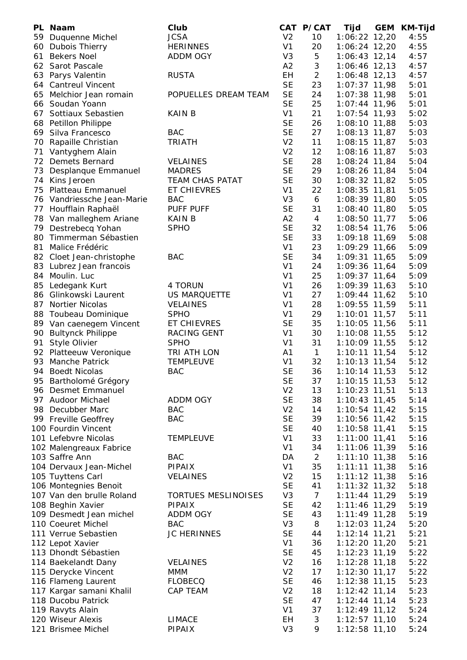|    | PL Naam                    | Club                       |                | CAT P/CAT       | Tijd            | GEM KM-Tijd |
|----|----------------------------|----------------------------|----------------|-----------------|-----------------|-------------|
|    | 59 Duquenne Michel         | <b>JCSA</b>                | V <sub>2</sub> | 10              | 1:06:22 12,20   | 4:55        |
|    | 60 Dubois Thierry          | <b>HERINNES</b>            | V <sub>1</sub> | 20              | $1:06:24$ 12,20 | 4:55        |
| 61 | <b>Bekers Noel</b>         | <b>ADDM OGY</b>            | V <sub>3</sub> | 5               | $1:06:43$ 12,14 | 4:57        |
|    | 62 Sarot Pascale           |                            | A2             | 3               | 1:06:46 12,13   | 4:57        |
|    | 63 Parys Valentin          | <b>RUSTA</b>               | EH             | $\overline{2}$  | $1:06:48$ 12,13 | 4:57        |
|    | 64 Cantreul Vincent        |                            | <b>SE</b>      | 23              | $1:07:37$ 11,98 | 5:01        |
| 65 | Melchior Jean romain       | POPUELLES DREAM TEAM       | <b>SE</b>      | 24              | $1:07:38$ 11,98 | 5:01        |
| 66 | Soudan Yoann               |                            | <b>SE</b>      | 25              | $1:07:44$ 11,96 | 5:01        |
|    | 67 Sottiaux Sebastien      | <b>KAIN B</b>              | V <sub>1</sub> | 21              | $1:07:54$ 11,93 | 5:02        |
| 68 | Petillon Philippe          |                            | <b>SE</b>      | 26              | $1:08:10$ 11,88 | 5:03        |
|    | 69 Silva Francesco         | <b>BAC</b>                 | <b>SE</b>      | 27              | 1:08:13 11,87   | 5:03        |
| 70 | Rapaille Christian         | <b>TRIATH</b>              | V <sub>2</sub> | 11              | $1:08:15$ 11,87 | 5:03        |
| 71 | Vantyghem Alain            |                            | V <sub>2</sub> | 12              | $1:08:16$ 11,87 | 5:03        |
| 72 | <b>Demets Bernard</b>      | <b>VELAINES</b>            | <b>SE</b>      | 28              | $1:08:24$ 11,84 | 5:04        |
| 73 | Desplanque Emmanuel        | <b>MADRES</b>              | <b>SE</b>      | 29              | $1:08:26$ 11,84 | 5:04        |
|    | 74 Kins Jeroen             | <b>TEAM CHAS PATAT</b>     | <b>SE</b>      | 30              | $1:08:32$ 11,82 | 5:05        |
| 75 | Platteau Emmanuel          | ET CHIEVRES                | V <sub>1</sub> | 22              | 1:08:35 11,81   | 5:05        |
|    | 76 Vandriessche Jean-Marie | <b>BAC</b>                 | V <sub>3</sub> | 6               | 1:08:39 11,80   | 5:05        |
|    | 77 Houfflain Raphaël       | PUFF PUFF                  | <b>SE</b>      | 31              | $1:08:40$ 11,80 | 5:05        |
|    | 78 Van malleghem Ariane    | <b>KAIN B</b>              | A2             | 4               | $1:08:50$ 11,77 | 5:06        |
|    | 79 Destrebecq Yohan        | <b>SPHO</b>                | <b>SE</b>      | 32              | 1:08:54 11,76   | 5:06        |
| 80 | Timmerman Sébastien        |                            | <b>SE</b>      | 33              | 1:09:18 11,69   | 5:08        |
| 81 | Malice Frédéric            |                            | V <sub>1</sub> | 23              | $1:09:29$ 11,66 | 5:09        |
|    | 82 Cloet Jean-christophe   | <b>BAC</b>                 | <b>SE</b>      | 34              | 1:09:31 11,65   | 5:09        |
|    | 83 Lubrez Jean francois    |                            | V <sub>1</sub> | 24              | $1:09:36$ 11,64 | 5:09        |
| 84 | Moulin. Luc                |                            | V <sub>1</sub> | 25              | $1:09:37$ 11,64 | 5:09        |
|    | 85 Ledegank Kurt           | 4 TORUN                    | V <sub>1</sub> | 26              | $1:09:39$ 11,63 | 5:10        |
|    | 86 Glinkowski Laurent      | <b>US MARQUETTE</b>        | V <sub>1</sub> | 27              | 1:09:44 11,62   | 5:10        |
|    |                            | <b>VELAINES</b>            | V <sub>1</sub> |                 |                 | 5:11        |
|    | 87 Nortier Nicolas         |                            | V <sub>1</sub> | 28              | 1:09:55 11,59   |             |
|    | 88 Toubeau Dominique       | <b>SPHO</b>                | <b>SE</b>      | 29              | 1:10:01 11,57   | 5:11        |
|    | 89 Van caenegem Vincent    | ET CHIEVRES                |                | 35              | 1:10:05 11,56   | 5:11        |
|    | 90 Bultynck Philippe       | RACING GENT                | V <sub>1</sub> | 30              | 1:10:08 11,55   | 5:12        |
|    | 91 Style Olivier           | <b>SPHO</b>                | V <sub>1</sub> | 31              | 1:10:09 11,55   | 5:12        |
|    | 92 Platteeuw Veronique     | TRI ATH LON                | A1             | $\mathbf{1}$    | $1:10:11$ 11,54 | 5:12        |
| 93 | <b>Manche Patrick</b>      | <b>TEMPLEUVE</b>           | V <sub>1</sub> | 32              | $1:10:13$ 11,54 | 5:12        |
| 94 | <b>Boedt Nicolas</b>       | <b>BAC</b>                 | <b>SE</b>      | 36              | $1:10:14$ 11,53 | 5:12        |
|    | 95 Bartholomé Grégory      |                            | <b>SE</b>      | 37              | 1:10:15 11,53   | 5:12        |
|    | 96 Desmet Emmanuel         |                            | V <sub>2</sub> | 13              | 1:10:23 11,51   | 5:13        |
|    | 97 Audoor Michael          | <b>ADDM OGY</b>            | <b>SE</b>      | 38              | $1:10:43$ 11,45 | 5:14        |
|    | 98 Decubber Marc           | <b>BAC</b>                 | V <sub>2</sub> | 14              | $1:10:54$ 11,42 | 5:15        |
|    | 99 Freville Geoffrey       | <b>BAC</b>                 | <b>SE</b>      | 39              | 1:10:56 11,42   | 5:15        |
|    | 100 Fourdin Vincent        |                            | <b>SE</b>      | 40              | 1:10:58 11,41   | 5:15        |
|    | 101 Lefebvre Nicolas       | <b>TEMPLEUVE</b>           | V <sub>1</sub> | 33              | $1:11:00$ 11,41 | 5:16        |
|    | 102 Malengreaux Fabrice    |                            | V <sub>1</sub> | 34              | 1:11:06 11,39   | 5:16        |
|    | 103 Saffre Ann             | <b>BAC</b>                 | DA             | $\overline{2}$  | $1:11:10$ 11,38 | 5:16        |
|    | 104 Dervaux Jean-Michel    | <b>PIPAIX</b>              | V <sub>1</sub> | 35              | $1:11:11$ 11,38 | 5:16        |
|    | 105 Tuyttens Carl          | <b>VELAINES</b>            | V <sub>2</sub> | 15              | $1:11:12$ 11,38 | 5:16        |
|    | 106 Montegnies Benoit      |                            | <b>SE</b>      | 41              | $1:11:32$ 11,32 | 5:18        |
|    | 107 Van den brulle Roland  | <b>TORTUES MESLINOISES</b> | V <sub>3</sub> | $7\overline{ }$ | $1:11:44$ 11,29 | 5:19        |
|    | 108 Beghin Xavier          | <b>PIPAIX</b>              | <b>SE</b>      | 42              | 1:11:46 11,29   | 5:19        |
|    | 109 Desmedt Jean michel    | <b>ADDM OGY</b>            | <b>SE</b>      | 43              | $1:11:49$ 11,28 | 5:19        |
|    | 110 Coeuret Michel         | <b>BAC</b>                 | V3             | 8               | $1:12:03$ 11,24 | 5:20        |
|    | 111 Verrue Sebastien       | <b>JC HERINNES</b>         | <b>SE</b>      | 44              | $1:12:14$ 11,21 | 5:21        |
|    | 112 Lepot Xavier           |                            | V <sub>1</sub> | 36              | 1:12:20 11,20   | 5:21        |
|    | 113 Dhondt Sébastien       |                            | <b>SE</b>      | 45              | $1:12:23$ 11,19 | 5:22        |
|    | 114 Baekelandt Dany        | <b>VELAINES</b>            | V <sub>2</sub> | 16              | $1:12:28$ 11,18 | 5:22        |
|    | 115 Derycke Vincent        | <b>MMM</b>                 | V <sub>2</sub> | 17              | $1:12:30$ 11,17 | 5:22        |
|    | 116 Flameng Laurent        | <b>FLOBECQ</b>             | <b>SE</b>      | 46              | $1:12:38$ 11,15 | 5:23        |
|    | 117 Kargar samani Khalil   | CAP TEAM                   | V <sub>2</sub> | 18              | $1:12:42$ 11,14 | 5:23        |
|    | 118 Ducobu Patrick         |                            | <b>SE</b>      | 47              | $1:12:44$ 11,14 | 5:23        |
|    | 119 Ravyts Alain           |                            | V <sub>1</sub> | 37              | $1:12:49$ 11,12 | 5:24        |
|    | 120 Wiseur Alexis          | <b>LIMACE</b>              | EH             | 3               | $1:12:57$ 11,10 | 5:24        |
|    | 121 Brismee Michel         | PIPAIX                     | V <sub>3</sub> | 9               | 1:12:58 11,10   | 5:24        |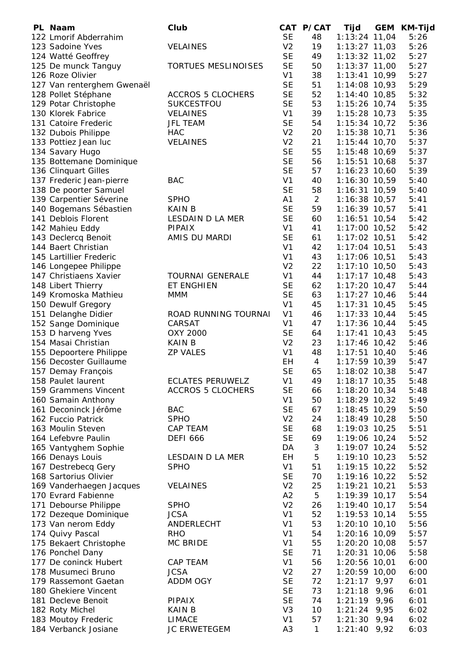| PL Naam                    | Club                       |                | CAT P/CAT      | Tijd            | GEM | <b>KM-Tijd</b> |
|----------------------------|----------------------------|----------------|----------------|-----------------|-----|----------------|
| 122 Lmorif Abderrahim      |                            | <b>SE</b>      | 48             | $1:13:24$ 11,04 |     | 5:26           |
| 123 Sadoine Yves           | <b>VELAINES</b>            | V <sub>2</sub> | 19             | $1:13:27$ 11,03 |     | 5:26           |
| 124 Watté Geoffrey         |                            | <b>SE</b>      | 49             | $1:13:32$ 11,02 |     | 5:27           |
| 125 De munck Tanguy        | <b>TORTUES MESLINOISES</b> | <b>SE</b>      | 50             | $1:13:37$ 11,00 |     | 5:27           |
| 126 Roze Olivier           |                            | V <sub>1</sub> | 38             | $1:13:41$ 10,99 |     | 5:27           |
| 127 Van renterghem Gwenaël |                            | <b>SE</b>      | 51             | $1:14:08$ 10,93 |     | 5:29           |
| 128 Pollet Stéphane        | <b>ACCROS 5 CLOCHERS</b>   | <b>SE</b>      | 52             | $1:14:40$ 10,85 |     | 5:32           |
| 129 Potar Christophe       | SUKCESTFOU                 | <b>SE</b>      | 53             | 1:15:26 10,74   |     | 5:35           |
| 130 Klorek Fabrice         | VELAINES                   | V <sub>1</sub> | 39             | 1:15:28 10,73   |     | 5:35           |
| 131 Catoire Frederic       | <b>JFL TEAM</b>            | <b>SE</b>      | 54             | $1:15:34$ 10,72 |     | 5:36           |
|                            | <b>HAC</b>                 | V <sub>2</sub> | 20             | $1:15:38$ 10,71 |     | 5:36           |
| 132 Dubois Philippe        |                            |                |                |                 |     |                |
| 133 Pottiez Jean luc       | <b>VELAINES</b>            | V <sub>2</sub> | 21             | $1:15:44$ 10,70 |     | 5:37           |
| 134 Savary Hugo            |                            | <b>SE</b>      | 55             | 1:15:48 10,69   |     | 5:37           |
| 135 Bottemane Dominique    |                            | <b>SE</b>      | 56             | $1:15:51$ 10,68 |     | 5:37           |
| 136 Clinquart Gilles       |                            | <b>SE</b>      | 57             | $1:16:23$ 10,60 |     | 5:39           |
| 137 Frederic Jean-pierre   | <b>BAC</b>                 | V <sub>1</sub> | 40             | 1:16:30 10,59   |     | 5:40           |
| 138 De poorter Samuel      |                            | <b>SE</b>      | 58             | $1:16:31$ 10,59 |     | 5:40           |
| 139 Carpentier Séverine    | <b>SPHO</b>                | A <sub>1</sub> | $\overline{2}$ | $1:16:38$ 10,57 |     | 5:41           |
| 140 Bogemans Sébastien     | KAIN B                     | <b>SE</b>      | 59             | $1:16:39$ 10,57 |     | 5:41           |
| 141 Deblois Florent        | LESDAIN D LA MER           | <b>SE</b>      | 60             | $1:16:51$ 10,54 |     | 5:42           |
| 142 Mahieu Eddy            | PIPAIX                     | V <sub>1</sub> | 41             | $1:17:00$ 10,52 |     | 5:42           |
| 143 Declercq Benoit        | AMIS DU MARDI              | <b>SE</b>      | 61             | $1:17:02$ 10,51 |     | 5:42           |
| 144 Baert Christian        |                            | V <sub>1</sub> | 42             | $1:17:04$ 10,51 |     | 5:43           |
| 145 Lartillier Frederic    |                            | V <sub>1</sub> | 43             | $1:17:06$ 10,51 |     | 5:43           |
| 146 Longepee Philippe      |                            | V <sub>2</sub> | 22             | $1:17:10$ 10,50 |     | 5:43           |
| 147 Christiaens Xavier     | <b>TOURNAI GENERALE</b>    | V <sub>1</sub> | 44             | $1:17:17$ 10,48 |     | 5:43           |
| 148 Libert Thierry         | ET ENGHIEN                 | <b>SE</b>      | 62             | $1:17:20$ 10,47 |     | 5:44           |
| 149 Kromoska Mathieu       | <b>MMM</b>                 | <b>SE</b>      | 63             | $1:17:27$ 10,46 |     | 5:44           |
| 150 Dewulf Gregory         |                            | V <sub>1</sub> | 45             | $1:17:31$ 10,45 |     | 5:45           |
|                            | ROAD RUNNING TOURNAI       | V <sub>1</sub> | 46             | $1:17:33$ 10,44 |     | 5:45           |
| 151 Delanghe Didier        |                            |                |                |                 |     |                |
| 152 Sange Dominique        | CARSAT                     | V <sub>1</sub> | 47             | $1:17:36$ 10,44 |     | 5:45           |
| 153 D harveng Yves         | OXY 2000                   | <b>SE</b>      | 64             | $1:17:41$ 10,43 |     | 5:45           |
| 154 Masai Christian        | <b>KAIN B</b>              | V <sub>2</sub> | 23             | $1:17:46$ 10,42 |     | 5:46           |
| 155 Depoortere Philippe    | <b>ZP VALES</b>            | V <sub>1</sub> | 48             | $1:17:51$ 10,40 |     | 5:46           |
| 156 Decoster Guillaume     |                            | <b>EH</b>      | $\overline{4}$ | $1:17:59$ 10,39 |     | 5:47           |
| 157 Demay François         |                            | <b>SE</b>      | 65             | 1:18:02 10,38   |     | 5:47           |
| 158 Paulet laurent         | <b>ECLATES PERUWELZ</b>    | V <sub>1</sub> | 49             | $1:18:17$ 10,35 |     | 5:48           |
| 159 Grammens Vincent       | <b>ACCROS 5 CLOCHERS</b>   | <b>SE</b>      | 66             | $1:18:20$ 10,34 |     | 5:48           |
| 160 Samain Anthony         |                            | V <sub>1</sub> | 50             | $1:18:29$ 10,32 |     | 5:49           |
| 161 Deconinck Jérôme       | <b>BAC</b>                 | <b>SE</b>      | 67             | $1:18:45$ 10,29 |     | 5:50           |
| 162 Fuccio Patrick         | <b>SPHO</b>                | V <sub>2</sub> | 24             | 1:18:49 10,28   |     | 5:50           |
| 163 Moulin Steven          | CAP TEAM                   | <b>SE</b>      | 68             | 1:19:03 10,25   |     | 5:51           |
| 164 Lefebvre Paulin        | <b>DEFI 666</b>            | <b>SE</b>      | 69             | 1:19:06 10,24   |     | 5:52           |
| 165 Vantyghem Sophie       |                            | DA             | 3              | 1:19:07 10,24   |     | 5:52           |
| 166 Denays Louis           | LESDAIN D LA MER           | <b>EH</b>      | 5              | $1:19:10$ 10,23 |     | 5:52           |
| 167 Destrebecq Gery        | <b>SPHO</b>                | V <sub>1</sub> | 51             | $1:19:15$ 10,22 |     | 5:52           |
| 168 Sartorius Olivier      |                            | <b>SE</b>      | 70             | 1:19:16 10,22   |     | 5:52           |
| 169 Vanderhaegen Jacques   | <b>VELAINES</b>            | V <sub>2</sub> | 25             | $1:19:21$ 10,21 |     | 5:53           |
| 170 Evrard Fabienne        |                            | A2             | 5              | 1:19:39 10,17   |     | 5:54           |
| 171 Debourse Philippe      | <b>SPHO</b>                | V <sub>2</sub> | 26             | $1:19:40$ 10,17 |     | 5:54           |
| 172 Dezeque Dominique      | <b>JCSA</b>                | V <sub>1</sub> | 52             | 1:19:53 10,14   |     | 5:55           |
| 173 Van nerom Eddy         | ANDERLECHT                 | V <sub>1</sub> | 53             | $1:20:10$ 10,10 |     | 5:56           |
|                            | <b>RHO</b>                 | V <sub>1</sub> |                | 1:20:16 10,09   |     | 5:57           |
| 174 Quivy Pascal           |                            |                | 54             |                 |     |                |
| 175 Bekaert Christophe     | MC BRIDE                   | V <sub>1</sub> | 55             | $1:20:20$ 10,08 |     | 5:57           |
| 176 Ponchel Dany           |                            | <b>SE</b>      | 71             | $1:20:31$ 10,06 |     | 5:58           |
| 177 De coninck Hubert      | CAP TEAM                   | V <sub>1</sub> | 56             | 1:20:56 10,01   |     | 6:00           |
| 178 Musumeci Bruno         | <b>JCSA</b>                | V <sub>2</sub> | 27             | $1:20:59$ 10,00 |     | 6:00           |
| 179 Rassemont Gaetan       | ADDM OGY                   | <b>SE</b>      | 72             | $1:21:17$ 9,97  |     | 6:01           |
| 180 Ghekiere Vincent       |                            | <b>SE</b>      | 73             | $1:21:18$ 9,96  |     | 6:01           |
| 181 Decleve Benoit         | PIPAIX                     | <b>SE</b>      | 74             | $1:21:19$ 9,96  |     | 6:01           |
| 182 Roty Michel            | <b>KAIN B</b>              | V <sub>3</sub> | 10             | $1:21:24$ 9,95  |     | 6:02           |
| 183 Moutoy Frederic        | <b>LIMACE</b>              | V <sub>1</sub> | 57             | $1:21:30$ 9,94  |     | 6:02           |
| 184 Verbanck Josiane       | <b>JC ERWETEGEM</b>        | A <sub>3</sub> | $\mathbf{1}$   | $1:21:40$ 9,92  |     | 6:03           |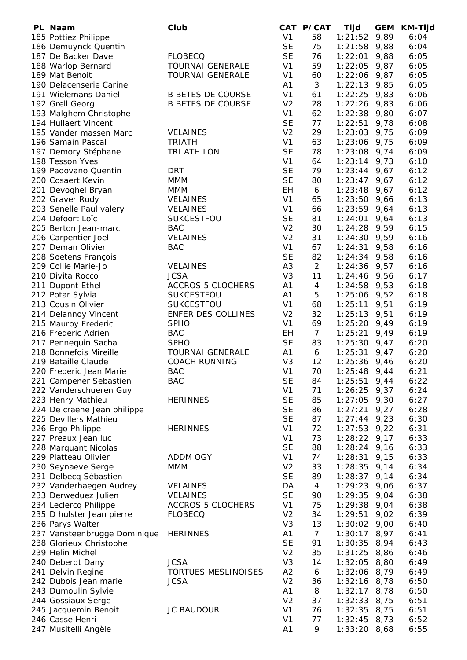| PL Naam                      | Club                       |                | CAT P/CAT      | Tijd           | <b>GEM</b> | <b>KM-Tijd</b> |
|------------------------------|----------------------------|----------------|----------------|----------------|------------|----------------|
| 185 Pottiez Philippe         |                            | V <sub>1</sub> | 58             | 1:21:52        | 9,89       | 6:04           |
| 186 Demuynck Quentin         |                            | <b>SE</b>      | 75             | 1:21:58        | 9,88       | 6:04           |
| 187 De Backer Dave           | <b>FLOBECQ</b>             | <b>SE</b>      | 76             | 1:22:01        | 9,88       | 6:05           |
| 188 Warlop Bernard           | <b>TOURNAI GENERALE</b>    | V <sub>1</sub> | 59             | 1:22:05        | 9,87       | 6:05           |
| 189 Mat Benoit               | <b>TOURNAI GENERALE</b>    | V <sub>1</sub> | 60             | 1:22:06        | 9,87       | 6:05           |
| 190 Delacenserie Carine      |                            | A1             | 3              | $1:22:13$ 9,85 |            | 6:05           |
| 191 Wielemans Daniel         | <b>B BETES DE COURSE</b>   | V <sub>1</sub> | 61             | 1:22:25        | 9,83       | 6:06           |
| 192 Grell Georg              | <b>B BETES DE COURSE</b>   | V <sub>2</sub> | 28             | 1:22:26        | 9,83       | 6:06           |
| 193 Malghem Christophe       |                            | V <sub>1</sub> | 62             | 1:22:38        | 9,80       | 6:07           |
| 194 Hullaert Vincent         |                            | <b>SE</b>      | 77             |                |            | 6:08           |
| 195 Vander massen Marc       |                            | V <sub>2</sub> | 29             | 1:22:51        | 9,78       |                |
|                              | <b>VELAINES</b>            |                |                | 1:23:03        | 9,75       | 6:09           |
| 196 Samain Pascal            | <b>TRIATH</b>              | V <sub>1</sub> | 63             | 1:23:06        | 9,75       | 6:09           |
| 197 Demory Stéphane          | TRI ATH LON                | <b>SE</b>      | 78             | 1:23:08        | 9,74       | 6:09           |
| 198 Tesson Yves              |                            | V <sub>1</sub> | 64             | 1:23:14        | 9,73       | 6:10           |
| 199 Padovano Quentin         | <b>DRT</b>                 | <b>SE</b>      | 79             | 1:23:44        | 9,67       | 6:12           |
| 200 Cosaert Kevin            | <b>MMM</b>                 | <b>SE</b>      | 80             | 1:23:47        | 9,67       | 6:12           |
| 201 Devoghel Bryan           | MMM                        | <b>EH</b>      | 6              | 1:23:48        | 9,67       | 6:12           |
| 202 Graver Rudy              | <b>VELAINES</b>            | V <sub>1</sub> | 65             | 1:23:50        | 9,66       | 6:13           |
| 203 Senelle Paul valery      | <b>VELAINES</b>            | V <sub>1</sub> | 66             | 1:23:59        | 9,64       | 6:13           |
| 204 Defoort Loïc             | <b>SUKCESTFOU</b>          | <b>SE</b>      | 81             | 1:24:01        | 9,64       | 6:13           |
| 205 Berton Jean-marc         | <b>BAC</b>                 | V <sub>2</sub> | 30             | 1:24:28        | 9,59       | 6:15           |
| 206 Carpentier Joel          | <b>VELAINES</b>            | V <sub>2</sub> | 31             | $1:24:30$ 9,59 |            | 6:16           |
| 207 Deman Olivier            | <b>BAC</b>                 | V <sub>1</sub> | 67             | 1:24:31        | 9,58       | 6:16           |
| 208 Soetens François         |                            | <b>SE</b>      | 82             | $1:24:34$ 9,58 |            | 6:16           |
| 209 Collie Marie-Jo          | <b>VELAINES</b>            | A <sub>3</sub> | $\overline{2}$ | 1:24:36        | 9,57       | 6:16           |
| 210 Divita Rocco             | <b>JCSA</b>                | V <sub>3</sub> | 11             | 1:24:46 9,56   |            | 6:17           |
|                              | <b>ACCROS 5 CLOCHERS</b>   | A1             | 4              |                | 9,53       | 6:18           |
| 211 Dupont Ethel             |                            |                |                | 1:24:58        |            |                |
| 212 Potar Sylvia             | <b>SUKCESTFOU</b>          | A1             | 5              | $1:25:06$ 9,52 |            | 6:18           |
| 213 Cousin Olivier           | <b>SUKCESTFOU</b>          | V <sub>1</sub> | 68             | 1:25:11        | 9,51       | 6:19           |
| 214 Delannoy Vincent         | ENFER DES COLLINES         | V <sub>2</sub> | 32             | $1:25:13$ 9,51 |            | 6:19           |
| 215 Mauroy Frederic          | <b>SPHO</b>                | V <sub>1</sub> | 69             | $1:25:20$ 9,49 |            | 6:19           |
| 216 Frederic Adrien          | <b>BAC</b>                 | EH             | $\overline{7}$ | 1:25:21        | 9,49       | 6:19           |
| 217 Pennequin Sacha          | <b>SPHO</b>                | <b>SE</b>      | 83             | $1:25:30$ 9,47 |            | 6:20           |
| 218 Bonnefois Mireille       | <b>TOURNAI GENERALE</b>    | A1             | 6              | $1:25:31$ 9,47 |            | 6:20           |
| 219 Bataille Claude          | <b>COACH RUNNING</b>       | V <sub>3</sub> | 12             | $1:25:36$ 9,46 |            | 6:20           |
| 220 Frederic Jean Marie      | <b>BAC</b>                 | V <sub>1</sub> | 70             | 1:25:48        | 9,44       | 6:21           |
| 221 Campener Sebastien       | <b>BAC</b>                 | <b>SE</b>      | 84             | 1:25:51        | 9,44       | 6:22           |
| 222 Vanderschueren Guy       |                            | V <sub>1</sub> | 71             | 1:26:25        | 9,37       | 6:24           |
| 223 Henry Mathieu            | <b>HERINNES</b>            | <b>SE</b>      | 85             | 1:27:05        | 9,30       | 6:27           |
| 224 De craene Jean philippe  |                            | <b>SE</b>      | 86             | 1:27:21        | 9,27       | 6:28           |
| 225 Devillers Mathieu        |                            | <b>SE</b>      | 87             | 1:27:44        | 9,23       | 6:30           |
| 226 Ergo Philippe            | <b>HERINNES</b>            | V <sub>1</sub> | 72             | 1:27:53        | 9,22       | 6:31           |
| 227 Preaux Jean luc          |                            | V <sub>1</sub> | 73             | 1:28:22        | 9,17       | 6:33           |
| 228 Marquant Nicolas         |                            | <b>SE</b>      | 88             | 1:28:24        | 9,16       | 6:33           |
| 229 Platteau Olivier         | <b>ADDM OGY</b>            | V <sub>1</sub> | 74             | 1:28:31        | 9,15       | 6:33           |
| 230 Seynaeve Serge           | <b>MMM</b>                 | V <sub>2</sub> | 33             | 1:28:35        |            | 6:34           |
|                              |                            |                |                |                | 9,14       |                |
| 231 Delbecq Sébastien        |                            | <b>SE</b>      | 89             | 1:28:37        | 9,14       | 6:34           |
| 232 Vanderhaegen Audrey      | <b>VELAINES</b>            | DA             | $\overline{4}$ | 1:29:23        | 9,06       | 6:37           |
| 233 Derweduez Julien         | <b>VELAINES</b>            | <b>SE</b>      | 90             | 1:29:35        | 9,04       | 6:38           |
| 234 Leclercq Philippe        | <b>ACCROS 5 CLOCHERS</b>   | V <sub>1</sub> | 75             | 1:29:38        | 9,04       | 6:38           |
| 235 D hulster Jean pierre    | <b>FLOBECQ</b>             | V <sub>2</sub> | 34             | 1:29:51        | 9,02       | 6:39           |
| 236 Parys Walter             |                            | V <sub>3</sub> | 13             | 1:30:02        | 9,00       | 6:40           |
| 237 Vansteenbrugge Dominique | <b>HERINNES</b>            | A1             | $\overline{7}$ | 1:30:17        | 8,97       | 6:41           |
| 238 Glorieux Christophe      |                            | <b>SE</b>      | 91             | 1:30:35        | 8,94       | 6:43           |
| 239 Helin Michel             |                            | V <sub>2</sub> | 35             | 1:31:25        | 8,86       | 6:46           |
| 240 Deberdt Dany             | <b>JCSA</b>                | V <sub>3</sub> | 14             | 1:32:05        | 8,80       | 6:49           |
| 241 Delvin Regine            | <b>TORTUES MESLINOISES</b> | A2             | 6              | 1:32:06        | 8,79       | 6:49           |
| 242 Dubois Jean marie        | <b>JCSA</b>                | V <sub>2</sub> | 36             | 1:32:16        | 8,78       | 6:50           |
| 243 Dumoulin Sylvie          |                            | A1             | 8              | 1:32:17        | 8,78       | 6:50           |
| 244 Gossiaux Serge           |                            | V <sub>2</sub> | 37             | $1:32:33$ 8,75 |            | 6:51           |
| 245 Jacquemin Benoit         | <b>JC BAUDOUR</b>          | V <sub>1</sub> | 76             | $1:32:35$ 8,75 |            | 6:51           |
| 246 Casse Henri              |                            | V <sub>1</sub> | 77             | $1:32:45$ 8,73 |            | 6:52           |
| 247 Musitelli Angèle         |                            | A <sub>1</sub> | 9              | $1:33:20$ 8,68 |            | 6:55           |
|                              |                            |                |                |                |            |                |